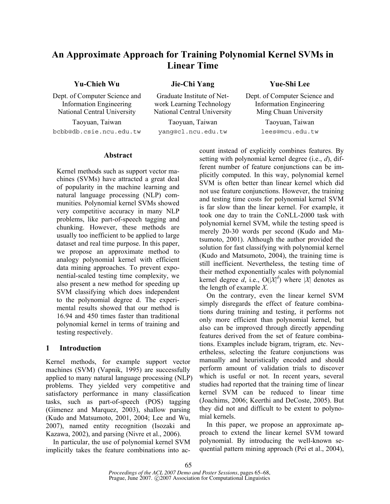# **An Approximate Approach for Training Polynomial Kernel SVMs in Linear Time**

# **Yu-Chieh Wu Jie-Chi Yang Yue-Shi Lee**

Dept. of Computer Science and Information Engineering National Central University National Central University Ming Chuan University

Taoyuan, Taiwan Taoyuan, Taiwan Taoyuan, Taiwan bcbb@db.csie.ncu.edu.tw yang@cl.ncu.edu.tw lees@mcu.edu.tw

Graduate Institute of Network Learning Technology

Dept. of Computer Science and Information Engineering

# **Abstract**

Kernel methods such as support vector machines (SVMs) have attracted a great deal of popularity in the machine learning and natural language processing (NLP) communities. Polynomial kernel SVMs showed very competitive accuracy in many NLP problems, like part-of-speech tagging and chunking. However, these methods are usually too inefficient to be applied to large dataset and real time purpose. In this paper, we propose an approximate method to analogy polynomial kernel with efficient data mining approaches. To prevent exponential-scaled testing time complexity, we also present a new method for speeding up SVM classifying which does independent to the polynomial degree d. The experimental results showed that our method is 16.94 and 450 times faster than traditional polynomial kernel in terms of training and testing respectively.

# **1 Introduction**

Kernel methods, for example support vector machines (SVM) (Vapnik, 1995) are successfully applied to many natural language processing (NLP) problems. They yielded very competitive and satisfactory performance in many classification tasks, such as part-of-speech (POS) tagging (Gimenez and Marquez, 2003), shallow parsing (Kudo and Matsumoto, 2001, 2004; Lee and Wu, 2007), named entity recognition (Isozaki and Kazawa, 2002), and parsing (Nivre et al., 2006).

In particular, the use of polynomial kernel SVM implicitly takes the feature combinations into account instead of explicitly combines features. By setting with polynomial kernel degree (i.e., *d*), different number of feature conjunctions can be implicitly computed. In this way, polynomial kernel SVM is often better than linear kernel which did not use feature conjunctions. However, the training and testing time costs for polynomial kernel SVM is far slow than the linear kernel. For example, it took one day to train the CoNLL-2000 task with polynomial kernel SVM, while the testing speed is merely 20-30 words per second (Kudo and Matsumoto, 2001). Although the author provided the solution for fast classifying with polynomial kernel (Kudo and Matsumoto, 2004), the training time is still inefficient. Nevertheless, the testing time of their method exponentially scales with polynomial kernel degree  $\tilde{d}$ , i.e.,  $O(|X|^d)$  where |X| denotes as the length of example *X*.

On the contrary, even the linear kernel SVM simply disregards the effect of feature combinations during training and testing, it performs not only more efficient than polynomial kernel, but also can be improved through directly appending features derived from the set of feature combinations. Examples include bigram, trigram, etc. Nevertheless, selecting the feature conjunctions was manually and heuristically encoded and should perform amount of validation trials to discover which is useful or not. In recent years, several studies had reported that the training time of linear kernel SVM can be reduced to linear time (Joachims, 2006; Keerthi and DeCoste, 2005). But they did not and difficult to be extent to polynomial kernels.

In this paper, we propose an approximate approach to extend the linear kernel SVM toward polynomial. By introducing the well-known sequential pattern mining approach (Pei et al., 2004),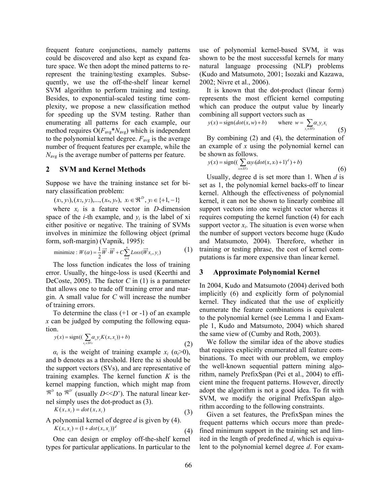frequent feature conjunctions, namely patterns could be discovered and also kept as expand feature space. We then adopt the mined patterns to rerepresent the training/testing examples. Subsequently, we use the off-the-shelf linear kernel SVM algorithm to perform training and testing. Besides, to exponential-scaled testing time complexity, we propose a new classification method for speeding up the SVM testing. Rather than enumerating all patterns for each example, our method requires  $O(F_{avg} * N_{avg})$  which is independent to the polynomial kernel degree.  $F_{\text{avg}}$  is the average number of frequent features per example, while the *N*<sub>avg</sub> is the average number of patterns per feature.

### **2 SVM and Kernel Methods**

Suppose we have the training instance set for binary classification problem:

 $(x_1, y_1), (x_2, y_2), ..., (x_n, y_n), \ x_i \in \mathbb{R}^D, \ y_i \in \{+1, -1\}$ 

where  $x_i$  is a feature vector in *D*-dimension space of the *i*-th example, and  $y_i$  is the label of xi either positive or negative. The training of SVMs involves in minimize the following object (primal form, soft-margin) (Vapnik, 1995):

minimize : 
$$
W(\alpha) = \frac{1}{2}\overrightarrow{W} \cdot \overrightarrow{W} + C \sum_{i=1}^{n} Loss(\overrightarrow{W} x_i, y_i)
$$
 (1)

The loss function indicates the loss of training error. Usually, the hinge-loss is used (Keerthi and DeCoste, 2005). The factor *C* in (1) is a parameter that allows one to trade off training error and margin. A small value for *C* will increase the number of training errors.

To determine the class (+1 or -1) of an example *x* can be judged by computing the following equation.

$$
y(x) = sign((\sum_{x_i \in S^{V_s}} \alpha_i y_i K(x, x_i)) + b)
$$
\n(2)

 $\alpha_i$  is the weight of training example  $x_i$  ( $\alpha_i > 0$ ), and b denotes as a threshold. Here the xi should be the support vectors (SVs), and are representative of training examples. The kernel function *K* is the kernel mapping function, which might map from  $\mathbb{R}^D$  to  $\mathbb{R}^D'$  (usually *D*<<*D*'). The natural linear kernel simply uses the dot-product as (3).

$$
K(x, x_i) = dot(x, x_i)
$$
\n(3)

A polynomial kernel of degree *d* is given by (4).

$$
K(x, x_i) = (1 + dot(x, x_i))^d
$$
 (4)

One can design or employ off-the-shelf kernel types for particular applications. In particular to the use of polynomial kernel-based SVM, it was shown to be the most successful kernels for many natural language processing (NLP) problems (Kudo and Matsumoto, 2001; Isozaki and Kazawa, 2002; Nivre et al., 2006).

It is known that the dot-product (linear form) represents the most efficient kernel computing which can produce the output value by linearly combining all support vectors such as

$$
y(x) = sign(dot(x, w) + b) \qquad \text{where } w = \sum_{x_i \in S} \alpha_i y_i x_i \tag{5}
$$

By combining (2) and (4), the determination of an example of *x* using the polynomial kernel can be shown as follows.

$$
y(x) = sign((\sum_{x \in SY_5} \alpha y_i (dot(x, x_i) + 1)^d) + b)
$$
\n(6)

Usually, degree d is set more than 1. When *d* is set as 1, the polynomial kernel backs-off to linear kernel. Although the effectiveness of polynomial kernel, it can not be shown to linearly combine all support vectors into one weight vector whereas it requires computing the kernel function (4) for each support vector  $x_i$ . The situation is even worse when the number of support vectors become huge (Kudo and Matsumoto, 2004). Therefore, whether in training or testing phrase, the cost of kernel computations is far more expensive than linear kernel.

# **3 Approximate Polynomial Kernel**

In 2004, Kudo and Matsumoto (2004) derived both implicitly (6) and explicitly form of polynomial kernel. They indicated that the use of explicitly enumerate the feature combinations is equivalent to the polynomial kernel (see Lemma 1 and Example 1, Kudo and Matsumoto, 2004) which shared the same view of (Cumby and Roth, 2003).

We follow the similar idea of the above studies that requires explicitly enumerated all feature combinations. To meet with our problem, we employ the well-known sequential pattern mining algorithm, namely PrefixSpan (Pei et al., 2004) to efficient mine the frequent patterns. However, directly adopt the algorithm is not a good idea. To fit with SVM, we modify the original PrefixSpan algorithm according to the following constraints.

Given a set features, the PrefixSpan mines the frequent patterns which occurs more than predefined minimum support in the training set and limited in the length of predefined *d*, which is equivalent to the polynomial kernel degree *d*. For exam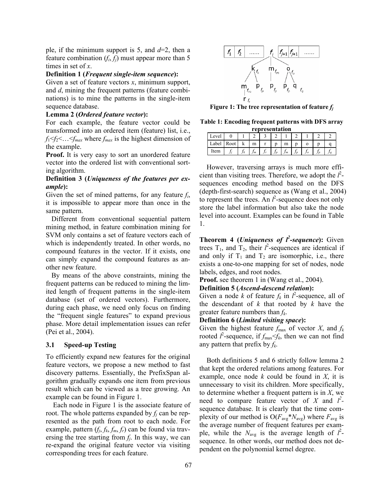ple, if the minimum support is 5, and *d*=2, then a feature combination  $(f_i, f_j)$  must appear more than 5 times in set of *x*.

# **Definition 1 (***Frequent single-item sequence***):**

Given a set of feature vectors *x*, minimum support, and *d*, mining the frequent patterns (feature combinations) is to mine the patterns in the single-item sequence database.

#### **Lemma 2 (***Ordered feature vector***):**

For each example, the feature vector could be transformed into an ordered item (feature) list, i.e.,  $f_1 \le f_2 \le \ldots \le f_{max}$  where  $f_{max}$  is the highest dimension of the example.

**Proof.** It is very easy to sort an unordered feature vector into the ordered list with conventional sorting algorithm.

# **Definition 3 (***Uniqueness of the features per example***):**

Given the set of mined patterns, for any feature *fi*, it is impossible to appear more than once in the same pattern.

Different from conventional sequential pattern mining method, in feature combination mining for SVM only contains a set of feature vectors each of which is independently treated. In other words, no compound features in the vector. If it exists, one can simply expand the compound features as another new feature.

By means of the above constraints, mining the frequent patterns can be reduced to mining the limited length of frequent patterns in the single-item database (set of ordered vectors). Furthermore, during each phase, we need only focus on finding the "frequent single features" to expand previous phase. More detail implementation issues can refer (Pei et al., 2004).

#### **3.1 Speed-up Testing**

To efficiently expand new features for the original feature vectors, we propose a new method to fast discovery patterns. Essentially, the PrefixSpan algorithm gradually expands one item from previous result which can be viewed as a tree growing. An example can be found in Figure 1.

Each node in Figure 1 is the associate feature of root. The whole patterns expanded by  $f_i$  can be represented as the path from root to each node. For example, pattern  $(f_i, f_k, f_m, f_r)$  can be found via traversing the tree starting from  $f_i$ . In this way, we can re-expand the original feature vector via visiting corresponding trees for each feature.



**Figure 1: The tree representation of feature**  $f_i$ 

**Table 1: Encoding frequent patterns with DFS array** 

| representation |      |    |     |  |  |                |   |  |  |  |
|----------------|------|----|-----|--|--|----------------|---|--|--|--|
| Level          |      |    |     |  |  |                |   |  |  |  |
| Label          | Root |    | m   |  |  | m              | n |  |  |  |
| Item           |      | Jk | I m |  |  | J <sub>m</sub> |   |  |  |  |

However, traversing arrays is much more efficient than visiting trees. Therefore, we adopt the  $l^2$ sequences encoding method based on the DFS (depth-first-search) sequence as (Wang et al., 2004) to represent the trees. An  $l^2$ -sequence does not only store the label information but also take the node level into account. Examples can be found in Table 1.

**Theorem 4 (***Uniqueness of l***<sup>2</sup>-sequence**): Given trees  $T_1$ , and  $T_2$ , their  $l^2$ -sequences are identical if and only if  $T_1$  and  $T_2$  are isomorphic, i.e., there exists a one-to-one mapping for set of nodes, node labels, edges, and root nodes.

**Proof.** see theorem 1 in (Wang et al., 2004).

#### **Definition 5 (***Ascend-descend relation***):**

Given a node *k* of feature  $f_k$  in  $l^2$ -sequence, all of the descendant of *k* that rooted by *k* have the greater feature numbers than *fk*.

#### **Definition 6 (***Limited visiting space***):**

Given the highest feature  $f_{\text{max}}$  of vector *X*, and  $f_k$ rooted  $l^2$ -sequence, if  $f_{\text{max}} \leq f_k$ , then we can not find any pattern that prefix by *fk*.

Both definitions 5 and 6 strictly follow lemma 2 that kept the ordered relations among features. For example, once node *k* could be found in *X*, it is unnecessary to visit its children. More specifically, to determine whether a frequent pattern is in *X*, we need to compare feature vector of *X* and  $l^2$ sequence database. It is clearly that the time complexity of our method is  $O(F_{avg} * N_{avg})$  where  $F_{avg}$  is the average number of frequent features per example, while the  $N_{\text{avg}}$  is the average length of  $l^2$ sequence. In other words, our method does not dependent on the polynomial kernel degree.